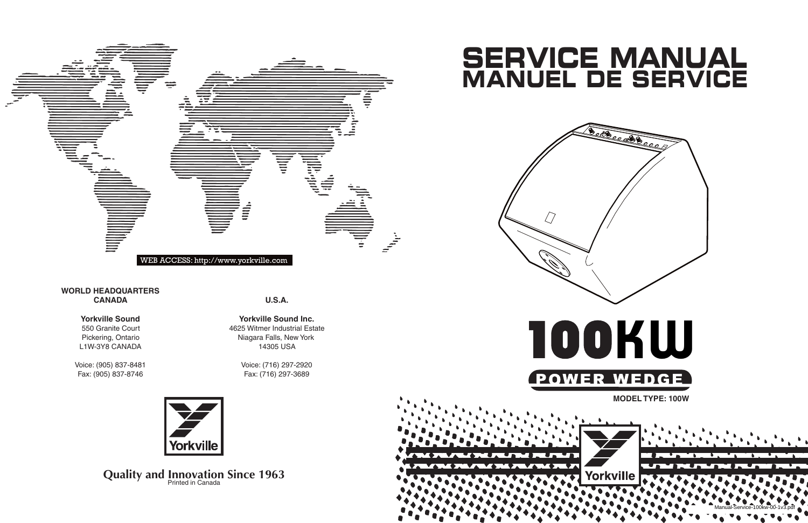**U.S.A.**

**Yorkville Sound Inc.** 4625 Witmer Industrial Estate Niagara Falls, New York 14305 USA

> Voice: (716) 297-2920 Fax: (716) 297-3689



## **Quality and Innovation Since 1963**

#### **WORLD HEADQUARTERS CANADA**

#### **Yorkville Sound**

550 Granite Court Pickering, Ontario L1W-3Y8 CANADA

Voice: (905) 837-8481 Fax: (905) 837-8746



# **SERVICE MANUAL MANUEL DE SERVICE**



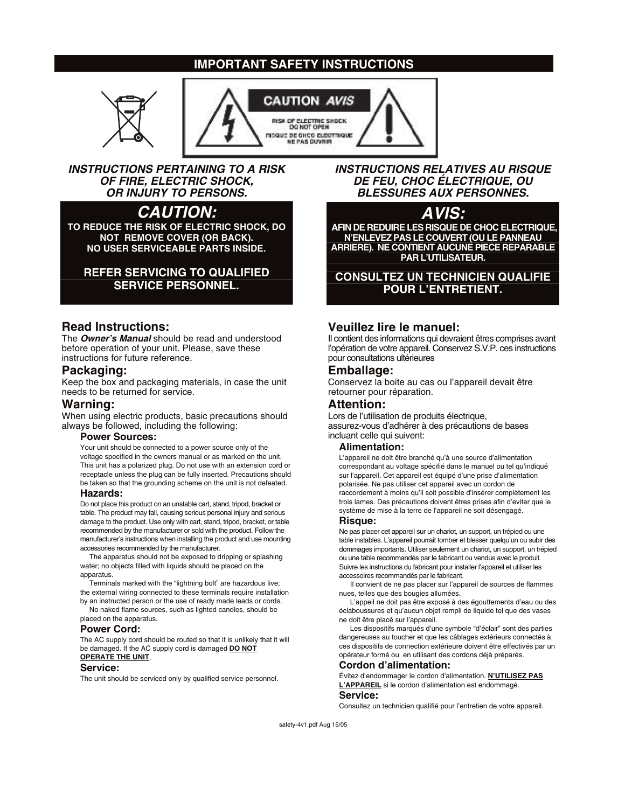#### **IMPORTANT SAFETY INSTRUCTIONS**





#### **INSTRUCTIONS PERTAINING TO A RISK OF FIRE, ELECTRIC SHOCK, OR INJURY TO PERSONS.**

### **CAUTION:**

**TO REDUCE THE RISK OF ELECTRIC SHOCK, DO NOT REMOVE COVER (OR BACK). NO USER SERVICEABLE PARTS INSIDE.**

#### **REFER SERVICING TO QUALIFIED SERVICE PERSONNEL.**

#### **Read Instructions:**

The **Owner's Manual** should be read and understood before operation of your unit. Please, save these instructions for future reference.

#### **Packaging:**

Keep the box and packaging materials, in case the unit needs to be returned for service.

#### **Warning:**

When using electric products, basic precautions should always be followed, including the following:

#### **Power Sources:**

Your unit should be connected to a power source only of the voltage specified in the owners manual or as marked on the unit. This unit has a polarized plug. Do not use with an extension cord or receptacle unless the plug can be fully inserted. Precautions should be taken so that the grounding scheme on the unit is not defeated.

#### **Hazards:**

Do not place this product on an unstable cart, stand, tripod, bracket or table. The product may fall, causing serious personal injury and serious damage to the product. Use only with cart, stand, tripod, bracket, or table recommended by the manufacturer or sold with the product. Follow the manufacturer's instructions when installing the product and use mounting accessories recommended by the manufacturer.

The apparatus should not be exposed to dripping or splashing water; no objects filled with liquids should be placed on the apparatus.

Terminals marked with the "lightning bolt" are hazardous live; the external wiring connected to these terminals require installation by an instructed person or the use of ready made leads or cords. No naked flame sources, such as lighted candles, should be

placed on the apparatus.

#### **Power Cord:**

The AC supply cord should be routed so that it is unlikely that it will be damaged. If the AC supply cord is damaged **DO NOT OPERATE THE UNIT**.

#### **Service:**

The unit should be serviced only by qualified service personnel.

**INSTRUCTIONS RELATIVES AU RISQUE DE FEU, CHOC ÉLECTRIQUE, OU BLESSURES AUX PERSONNES.**

#### **AVIS:**

**AFIN DE REDUIRE LES RISQUE DE CHOC ELECTRIQUE, N'ENLEVEZ PAS LE COUVERT (OU LE PANNEAU ARRIERE). NE CONTIENT AUCUNE PIECE REPARABLE PAR L'UTILISATEUR.**

#### **CONSULTEZ UN TECHNICIEN QUALIFIE POUR L'ENTRETIENT.**

#### **Veuillez lire le manuel:**

Il contient des informations qui devraient êtres comprises avant l'opération de votre appareil. Conservez S.V.P. ces instructions pour consultations ultérieures

#### **Emballage:**

Conservez la boite au cas ou l'appareil devait être retourner pour réparation.

#### **Attention:**

Lors de l'utilisation de produits électrique, assurez-vous d'adhérer à des précautions de bases incluant celle qui suivent:

#### **Alimentation:**

L'appareil ne doit être branché qu'à une source d'alimentation correspondant au voltage spécifié dans le manuel ou tel qu'indiqué sur l'appareil. Cet appareil est équipé d'une prise d'alimentation polarisée. Ne pas utiliser cet appareil avec un cordon de raccordement à moins qu'il soit possible d'insérer complètement les trois lames. Des précautions doivent êtres prises afin d'eviter que le système de mise à la terre de l'appareil ne soit désengagé.

#### **Risque:**

Ne pas placer cet appareil sur un chariot, un support, un trépied ou une table instables. L'appareil pourrait tomber et blesser quelqu'un ou subir des dommages importants. Utiliser seulement un chariot, un support, un trépied ou une table recommandés par le fabricant ou vendus avec le produit. Suivre les instructions du fabricant pour installer l'appareil et utiliser les accessoires recommandés par le fabricant.

Il convient de ne pas placer sur l'appareil de sources de flammes nues, telles que des bougies allumées.

L'appeil ne doit pas être exposé à des égouttements d'eau ou des éclaboussures et qu'aucun objet rempli de liquide tel que des vases ne doit être placé sur l'appareil.

Les dispositifs marqués d'une symbole "d'éclair" sont des parties dangereuses au toucher et que les câblages extérieurs connectés à ces dispositifs de connection extérieure doivent être effectivés par un opérateur formé ou en utilisant des cordons déjà préparés.

#### **Cordon d'alimentation:**

Évitez d'endommager le cordon d'alimentation. **N'UTILISEZ PAS L'APPAREIL** si le cordon d'alimentation est endommagé. **Service:**

Consultez un technicien qualifié pour l'entretien de votre appareil.

safety-4v1.pdf Aug 15/05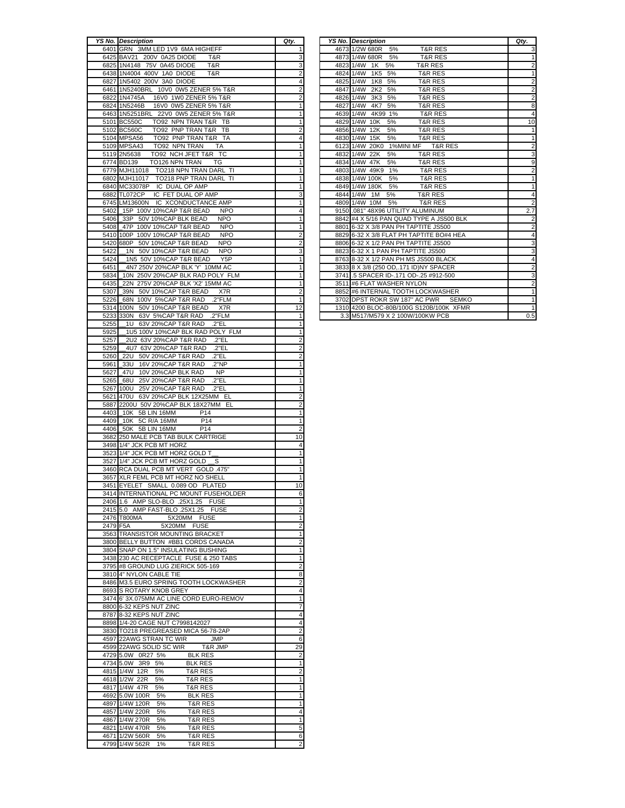|      | <b>YS No. Description</b>                                                  | Qty.                    |
|------|----------------------------------------------------------------------------|-------------------------|
|      | 6401 GRN 3MM LED 1V9 6MA HIGHEFF                                           | 1                       |
|      | 6425 BAV21 200V 0A25 DIODE<br>T&R                                          | 3                       |
| 6825 | 1N4148 75V 0A45 DIODE<br>T&R                                               | 3                       |
|      | 6438 1N4004 400V 1A0 DIODE<br>T&R                                          | 2                       |
|      |                                                                            |                         |
|      | 6827 1N5402 200V 3A0 DIODE                                                 | 4                       |
|      | 6461 1N5240BRL 10V0 0W5 ZENER 5% T&R                                       | $\overline{\mathbf{c}}$ |
|      | 6822 1N4745A<br>16V0 1W0 ZENER 5% T&R                                      | 2                       |
|      | 6824 1N5246B<br>16V0 0W5 ZENER 5% T&R                                      | $\overline{1}$          |
| 6463 | 1N5251BRL 22V0 0W5 ZENER 5% T&R                                            | 1                       |
|      | 5101 BC550C<br>TO92 NPN TRAN T&R TB                                        | $\overline{\mathbf{1}}$ |
|      | 5102 BC560C<br>TO92 PNP TRAN T&R TB                                        | $\overline{\mathbf{c}}$ |
|      |                                                                            |                         |
|      | TO92 PNP TRAN T&R TA<br>5104 MPSA56                                        | 4                       |
|      | 5109 MPSA43 TO92 NPN TRAN TA                                               | 1                       |
|      | 5119 2N5638<br>TO92 NCH JFET T&R TC                                        | 1                       |
|      | TO126 NPN TRAN<br>6774 BD139<br>TG                                         | 1                       |
|      | 6779 MJH11018 TO218 NPN TRAN DARL TI                                       | $\overline{1}$          |
|      | 6802 MJH11017 TO218 PNP TRAN DARL TI                                       | 1                       |
|      | 6840 MC33078P IC DUAL OP AMP                                               | 1                       |
|      |                                                                            |                         |
|      | 6882 TL072CP IC FET DUAL OP AMP                                            | 3                       |
|      | 6745 LM13600N IC XCONDUCTANCE AMP                                          | 1                       |
| 5402 | 15P 100V 10%CAP T&R BEAD<br><b>NPO</b>                                     | 4                       |
|      | 5406 33P 50V 10%CAP BLK BEAD<br><b>NPO</b>                                 | $\overline{1}$          |
| 5408 | _47P 100V 10%CAP T&R BEAD<br><b>NPO</b>                                    | 1                       |
|      | 5410 100P 100V 10%CAP T&R BEAD<br><b>NPO</b>                               |                         |
|      | 5420 680P 50V 10%CAP T&R BEAD<br><b>NPO</b>                                | $\frac{2}{2}$           |
|      |                                                                            |                         |
| 5422 | 1N 50V 10%CAP T&R BEAD<br><b>NPO</b>                                       | 3                       |
| 5424 | 1N5 50V 10%CAP T&R BEAD Y5P                                                | 1                       |
| 6451 | _4N7 250V 20%CAP BLK 'Y' 10MM AC                                           | 1                       |
| 5834 | 10N 250V 20%CAP BLK RAD POLY FLM                                           | $\overline{\mathbf{1}}$ |
| 6435 | _22N 275V 20%CAP BLK 'X2' 15MM AC                                          | $\overline{1}$          |
| 5307 | 39N 50V 10%CAP T&R BEAD X7R                                                | $\overline{\mathbf{c}}$ |
| 5226 | .2"FLM                                                                     | 1                       |
|      | 68N 100V 5%CAP T&R RAD                                                     |                         |
|      | 5314 100N 50V 10%CAP T&R BEAD X7R                                          | $\overline{12}$         |
|      | 5233 330N 63V 5%CAP T&R RAD .2"FLM                                         | 1                       |
| 5255 | 1U 63V 20%CAP T&R RAD .2"EL                                                | 1                       |
| 5925 | 1U5 100V 10%CAP BLK RAD POLY FLM                                           | 1                       |
| 5257 | 2U2 63V 20%CAP T&R RAD .2"EL                                               | $\overline{\mathbf{c}}$ |
| 5259 | _4U7 63V 20%CAP T&R RAD .2"EL                                              | $\overline{\mathbf{c}}$ |
|      |                                                                            |                         |
| 5260 | _22U 50V 20%CAP T&R RAD .2"EL                                              | 2                       |
| 5961 | 16V 20%CAP T&R RAD<br>.2"NP<br>33U                                         | 1                       |
| 5627 | _47U 10V 20%CAP BLK RAD NP                                                 | $\overline{1}$          |
| 5265 | _68U 25V 20%CAP T&R RAD .2"EL                                              | 1                       |
| 5267 | 25V 20%CAP T&R RAD<br>100U<br>.2"EL                                        | 1                       |
|      | 5621 470U 63V 20%CAP BLK 12X25MM EL                                        | $\overline{\mathbf{c}}$ |
|      |                                                                            |                         |
|      | 5887 2200U 50V 20%CAP BLK 18X27MM EL                                       | 2                       |
| 4403 | $\_10K$ 5B LIN 16MM<br>P <sub>14</sub>                                     | 1                       |
|      | 4409_10K 5C R/A 16MM<br>P <sub>14</sub>                                    | 1                       |
|      | 4406 50K 5B LIN 16MM<br><b>P14</b>                                         | 2                       |
|      | 3682 250 MALE PCB TAB BULK CARTRIGE                                        | 10                      |
|      | 3498 1/4" JCK PCB MT HORZ                                                  | 4                       |
|      | 3523 1/4" JCK PCB MT HORZ GOLD T                                           | 1                       |
|      |                                                                            |                         |
|      | 3527 1/4" JCK PCB MT HORZ GOLD<br>_S                                       | 1                       |
|      | 3460 RCA DUAL PCB MT VERT GOLD .475"                                       | 1                       |
|      | 3657 XLR FEML PCB MT HORZ NO SHELL                                         | 1                       |
|      | 3451 EYELET SMALL 0.089 OD PLATED                                          | $\overline{10}$         |
|      | 3414 INTERNATIONAL PC MOUNT FUSEHOLDER                                     | 6                       |
|      | 2406 1.6 AMP SLO-BLO .25X1.25 FUSE                                         | 1                       |
|      | 2415 5.0 AMP FAST-BLO .25X1.25 FUSE                                        |                         |
|      |                                                                            | 2                       |
|      | 2476 T800MA<br>5X20MM FUSE                                                 | 1                       |
|      | 2479 F5A<br>5X20MM FUSE                                                    | 2                       |
|      | 3563 TRANSISTOR MOUNTING BRACKET                                           | 1                       |
|      | 3800 BELLY BUTTON #BB1 CORDS CANADA                                        | 2                       |
|      | 3804 SNAP ON 1.5" INSULATING BUSHING                                       | 1                       |
|      | 3438 230 AC RECEPTACLE FUSE & 250 TABS                                     | 1                       |
|      | 3795 #8 GROUND LUG ZIERICK 505-169                                         | $\overline{\mathbf{c}}$ |
|      |                                                                            |                         |
|      | 3810 4" NYLON CABLE TIE                                                    | 8                       |
|      | 8486 M3.5 EURO SPRING TOOTH LOCKWASHER                                     | $\overline{\mathbf{c}}$ |
|      | 8693 S ROTARY KNOB GREY                                                    | 4                       |
|      | 3474 6' 3X.075MM AC LINE CORD EURO-REMOV                                   | 1                       |
|      | 8800 6-32 KEPS NUT ZINC                                                    | 7                       |
|      | 8787 8-32 KEPS NUT ZINC                                                    | 4                       |
|      | 8898 1/4-20 CAGE NUT C7998142027                                           | 4                       |
|      | 3830 TO218 PREGREASED MICA 56-78-2AP                                       | 2                       |
|      |                                                                            |                         |
| 4597 | 22AWG STRAN TC WIR<br><b>JMP</b>                                           | 6                       |
|      | 4599 22AWG SOLID SC WIR<br>T&R JMP                                         | 29                      |
|      | 4729 5.0W 0R27 5%<br><b>BLK RES</b>                                        | 2                       |
|      | 4734 5.0W 3R9 5%<br><b>BLK RES</b>                                         | 1                       |
|      | 4815 1/4W 12R<br>5%<br>T&R RES                                             | 2                       |
|      | 4618 1/2W 22R<br>T&R RES<br>5%                                             | 1                       |
|      |                                                                            |                         |
|      |                                                                            |                         |
|      | 4817 1/4W 47R<br>5%<br><b>T&amp;R RES</b>                                  | 1                       |
|      | 4692 5.0W 100R<br>5%<br><b>BLK RES</b>                                     | 1                       |
|      | 4897 1/4W 120R<br><b>T&amp;R RES</b><br>5%                                 | 1                       |
|      | 4857 1/4W 220R<br>5%<br>T&R RES                                            | 4                       |
|      | 4867 1/4W 270R<br>5%<br>T&R RES                                            |                         |
|      |                                                                            | 1                       |
|      | 4821 1/4W 470R<br>5%<br>T&R RES                                            | 5                       |
|      | 4671 1/2W 560R<br>5%<br>T&R RES<br>4799 1/4W 562R 1%<br><b>T&amp;R RES</b> | 6<br>2                  |

| YS No. | <b>Description</b>                             | Qty. |      | <b>YS No. Description</b>                           | Qty.           |
|--------|------------------------------------------------|------|------|-----------------------------------------------------|----------------|
|        | 6401 GRN 3MM LED 1V9 6MA HIGHEFF               |      |      | 4673 1/2W 680R 5%<br><b>T&amp;R RES</b>             |                |
|        | 6425 BAV21 200V 0A25 DIODE<br>T&R              |      |      | 4873 1/4W 680R<br>5%<br><b>T&amp;R RES</b>          |                |
|        | 6825 1N4148 75V 0A45 DIODE<br>T&R              |      |      | 4823 1/4W<br>5%<br><b>T&amp;R RES</b><br>1K         |                |
|        | 6438 1N4004 400V 1A0 DIODE<br>T&R              |      |      | 5%<br>4824 1/4W<br>1K5<br><b>T&amp;R RES</b>        |                |
|        | 6827 1N5402 200V 3A0 DIODE                     |      |      | 5%<br><b>T&amp;R RES</b><br>4825 1/4W<br><b>1K8</b> |                |
|        | 6461 1N5240BRL 10V0 0W5 ZENER 5% T&R           |      | 4847 | 1/4W<br>2K2<br>5%<br><b>T&amp;R RES</b>             |                |
|        | 16V0 1W0 ZENER 5% T&R<br>6822 1N4745A          |      |      | 5%<br><b>T&amp;R RES</b><br>4826 1/4W 3K3           |                |
|        | 16V0 0W5 ZENER 5% T&R<br>6824 1N5246B          |      |      | 4K7<br>5%<br><b>T&amp;R RES</b><br>4827 1/4W        | 8              |
|        | 6463 1N5251BRL 22V0 0W5 ZENER 5% T&R           |      |      | <b>T&amp;R RES</b><br>4639 1/4W 4K99 1%             |                |
|        | 5101 BC550C<br>TO92 NPN TRAN T&R TB            |      |      | 4829 1/4W 10K<br>5%<br><b>T&amp;R RES</b>           | 10             |
|        | TO92 PNP TRAN T&R TB<br>5102 BC560C            |      |      | 4856 1/4W 12K<br>5%<br><b>T&amp;R RES</b>           |                |
|        | TO92 PNP TRAN T&R TA<br>5104 MPSA56            |      |      | 4830 1/4W 15K<br>5%<br>T&R RES                      |                |
|        | 5109 MPSA43<br>TO92 NPN TRAN<br><b>TA</b>      |      |      | 6123 1/4W 20K0<br>1%MINI MF<br><b>T&amp;R RES</b>   | 2              |
|        | 5119 2N5638<br>TO92 NCH JFET T&R TC            |      |      | 4832 1/4W 22K<br>5%<br><b>T&amp;R RES</b>           | 3              |
|        | TO126 NPN TRAN<br>6774 BD139<br><b>TG</b>      |      |      | 4834 1/4W 47K<br>5%<br><b>T&amp;R RES</b>           | 9              |
|        | TO218 NPN TRAN DARL TI<br>6779 MJH11018        |      |      | <b>T&amp;R RES</b><br>4803 1/4W 49K9 1%             |                |
|        | TO218 PNP TRAN DARL TI<br>6802 MJH11017        |      |      | <b>T&amp;R RES</b><br>4838 1/4W 100K<br>5%          |                |
|        | IC DUAL OP AMP<br>6840 MC33078P                |      |      | 5%<br><b>T&amp;R RES</b><br>4849 1/4W 180K          |                |
|        | IC FET DUAL OP AMP<br>6882 TL072CP             |      |      | 5%<br>4844 1/4W 1M<br><b>T&amp;R RES</b>            |                |
|        | IC XCONDUCTANCE AMP<br>6745 LM13600N           |      |      | 5%<br><b>T&amp;R RES</b><br>4809 1/4W 10M           |                |
| 5402   | 15P 100V 10%CAP T&R BEAD<br><b>NPO</b>         |      |      | 9150 .081" 48X96 UTILITY ALUMINUM                   | 2.7            |
| 5406   | 50V 10%CAP BLK BEAD<br><b>NPO</b><br>33P       |      |      | 8842 #4 X 5/16 PAN QUAD TYPE A JS500 BLK            | $\overline{2}$ |
| 5408   | 47P 100V 10%CAP T&R BEAD<br><b>NPO</b>         |      |      | 8801 6-32 X 3/8 PAN PH TAPTITE JS500                | $\overline{2}$ |
| 5410   | 100P 100V 10%CAP T&R BEAD<br><b>NPO</b>        |      |      | 8829 6-32 X 3/8 FLAT PH TAPTITE BO#4 HEA            | 4              |
|        | 50V 10%CAP T&R BEAD<br>5420 680P<br><b>NPO</b> |      |      | 8806 6-32 X 1/2 PAN PH TAPTITE JS500                |                |
| 5422   | 1N 50V 10%CAP T&R BEAD<br><b>NPO</b>           |      |      | 8823 6-32 X 1 PAN PH TAPTITE JS500                  |                |
| 5424   | 1N5 50V 10%CAP T&R BEAD<br>Y <sub>5</sub> P    |      |      | 8763 8-32 X 1/2 PAN PH MS JS500 BLACK               |                |
| 6451   | 4N7 250V 20%CAP BLK 'Y' 10MM AC                |      |      | 3833 8 X 3/8 (250 OD, 171 ID)NY SPACER              |                |
| 5834   | 10N 250V 20%CAP BLK RAD POLY FLM               |      |      | 3741 .5 SPACER ID-.171 OD-.25 #912-500              |                |
| 6435   | 275V 20%CAP BLK 'X2' 15MM AC<br>22N            |      |      | 3511 #6 FLAT WASHER NYLON                           |                |
| 5307   | 50V 10%CAP T&R BEAD<br>X7R<br>39N              |      |      | 8852 #6 INTERNAL TOOTH LOCKWASHER                   |                |
| 5226   | .2"FLM<br>68N 100V 5%CAP T&R RAD               |      |      | 3702 DPST ROKR SW 187" AC PWR<br><b>SEMKO</b>       |                |
| 5314   | 50V 10%CAP T&R BEAD<br>X7R<br>100N             | 12   |      | 1310 4200 BLOC-80B/100G S120B/100K XFMR             |                |
|        | 5233 330N 63V 5%CAP T&R RAD<br>.2"FLM          |      |      | 3.3 M517/M579 X 2 100W/100KW PCB                    | 0.5            |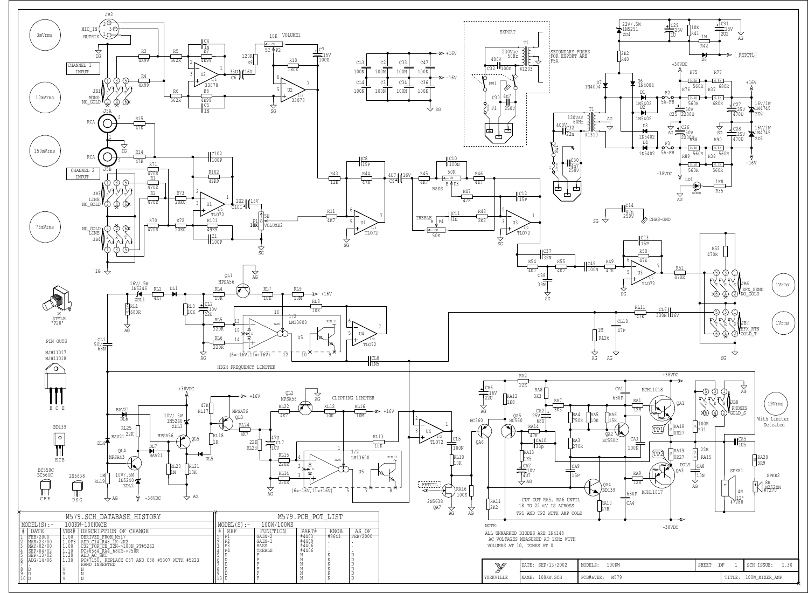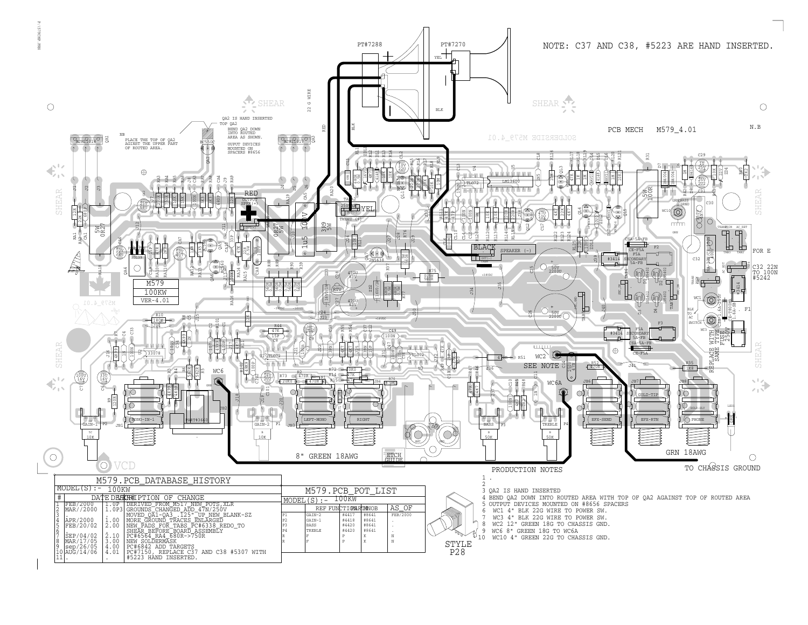



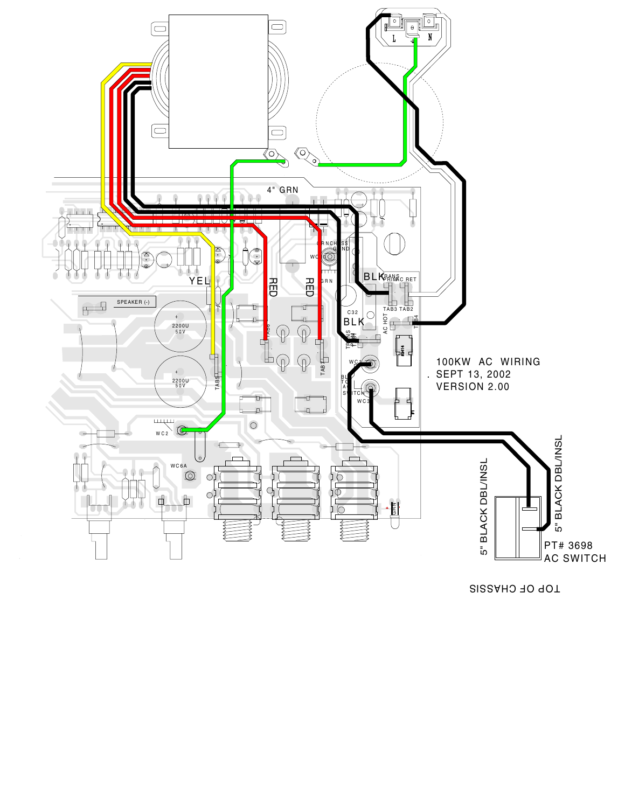

TOP OF CHASSIS